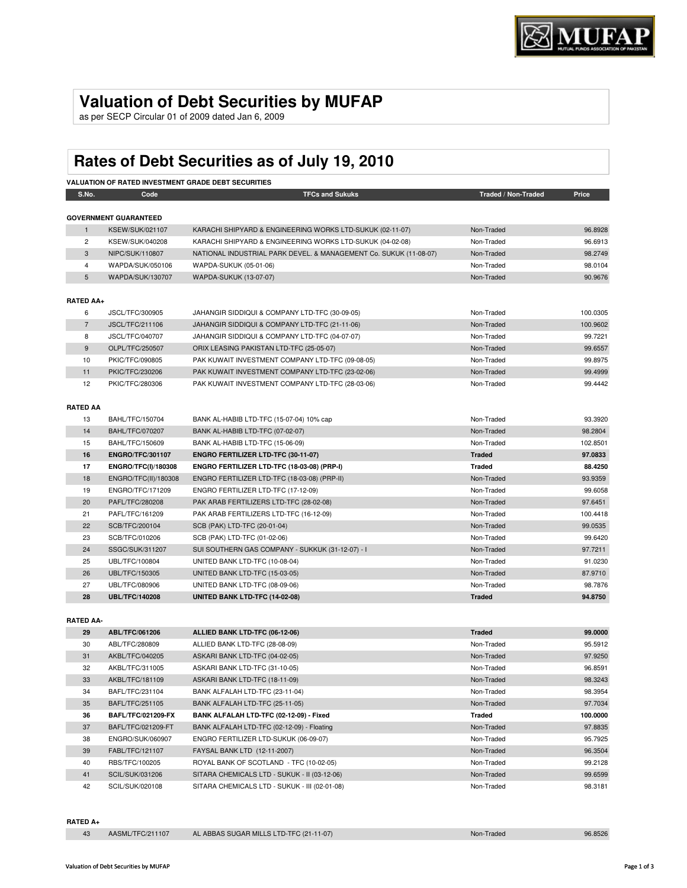## **Valuation of Debt Securities by MUFAP**

as per SECP Circular 01 of 2009 dated Jan 6, 2009

# **Rates of Debt Securities as of July 19, 2010**

|                  |                              | <b>VALUATION OF RATED INVESTMENT GRADE DEBT SECURITIES</b>        |                     |          |
|------------------|------------------------------|-------------------------------------------------------------------|---------------------|----------|
| S.No.            | Code                         | <b>TFCs and Sukuks</b>                                            | Traded / Non-Traded | Price    |
|                  |                              |                                                                   |                     |          |
|                  | <b>GOVERNMENT GUARANTEED</b> |                                                                   |                     |          |
| $\mathbf{1}$     | <b>KSEW/SUK/021107</b>       | KARACHI SHIPYARD & ENGINEERING WORKS LTD-SUKUK (02-11-07)         | Non-Traded          | 96.8928  |
| $\overline{2}$   | KSEW/SUK/040208              | KARACHI SHIPYARD & ENGINEERING WORKS LTD-SUKUK (04-02-08)         | Non-Traded          | 96.6913  |
| 3                | NIPC/SUK/110807              | NATIONAL INDUSTRIAL PARK DEVEL. & MANAGEMENT Co. SUKUK (11-08-07) | Non-Traded          | 98.2749  |
| $\overline{4}$   | WAPDA/SUK/050106             | WAPDA-SUKUK (05-01-06)                                            | Non-Traded          | 98.0104  |
| 5                | WAPDA/SUK/130707             | <b>WAPDA-SUKUK (13-07-07)</b>                                     | Non-Traded          | 90.9676  |
| <b>RATED AA+</b> |                              |                                                                   |                     |          |
| 6                | JSCL/TFC/300905              | JAHANGIR SIDDIQUI & COMPANY LTD-TFC (30-09-05)                    | Non-Traded          | 100.0305 |
| $\overline{7}$   | JSCL/TFC/211106              | JAHANGIR SIDDIQUI & COMPANY LTD-TFC (21-11-06)                    | Non-Traded          | 100.9602 |
| 8                | JSCL/TFC/040707              | JAHANGIR SIDDIQUI & COMPANY LTD-TFC (04-07-07)                    | Non-Traded          | 99.7221  |
| 9                | OLPL/TFC/250507              | ORIX LEASING PAKISTAN LTD-TFC (25-05-07)                          | Non-Traded          | 99.6557  |
| 10               | PKIC/TFC/090805              | PAK KUWAIT INVESTMENT COMPANY LTD-TFC (09-08-05)                  | Non-Traded          | 99.8975  |
| 11               | PKIC/TFC/230206              | PAK KUWAIT INVESTMENT COMPANY LTD-TFC (23-02-06)                  | Non-Traded          | 99.4999  |
| 12               | PKIC/TFC/280306              | PAK KUWAIT INVESTMENT COMPANY LTD-TFC (28-03-06)                  | Non-Traded          | 99.4442  |
|                  |                              |                                                                   |                     |          |
| <b>RATED AA</b>  |                              |                                                                   |                     |          |
| 13               | BAHL/TFC/150704              | BANK AL-HABIB LTD-TFC (15-07-04) 10% cap                          | Non-Traded          | 93.3920  |
| 14               | <b>BAHL/TFC/070207</b>       | BANK AL-HABIB LTD-TFC (07-02-07)                                  | Non-Traded          | 98.2804  |
| 15               | BAHL/TFC/150609              | BANK AL-HABIB LTD-TFC (15-06-09)                                  | Non-Traded          | 102.8501 |
| 16               | <b>ENGRO/TFC/301107</b>      | ENGRO FERTILIZER LTD-TFC (30-11-07)                               | <b>Traded</b>       | 97.0833  |
| 17               | <b>ENGRO/TFC(I)/180308</b>   | ENGRO FERTILIZER LTD-TFC (18-03-08) (PRP-I)                       | Traded              | 88.4250  |
| 18               | ENGRO/TFC(II)/180308         | ENGRO FERTILIZER LTD-TFC (18-03-08) (PRP-II)                      | Non-Traded          | 93.9359  |
| 19               | ENGRO/TFC/171209             | ENGRO FERTILIZER LTD-TFC (17-12-09)                               | Non-Traded          | 99.6058  |
| 20               | PAFL/TFC/280208              | PAK ARAB FERTILIZERS LTD-TFC (28-02-08)                           | Non-Traded          | 97.6451  |
| 21               | PAFL/TFC/161209              | PAK ARAB FERTILIZERS LTD-TFC (16-12-09)                           | Non-Traded          | 100.4418 |
| 22               | SCB/TFC/200104               | SCB (PAK) LTD-TFC (20-01-04)                                      | Non-Traded          | 99.0535  |
| 23               | SCB/TFC/010206               | SCB (PAK) LTD-TFC (01-02-06)                                      | Non-Traded          | 99.6420  |
| 24               | SSGC/SUK/311207              | SUI SOUTHERN GAS COMPANY - SUKKUK (31-12-07) - I                  | Non-Traded          | 97.7211  |
| 25               | UBL/TFC/100804               | UNITED BANK LTD-TFC (10-08-04)                                    | Non-Traded          | 91.0230  |
| 26               | UBL/TFC/150305               | UNITED BANK LTD-TFC (15-03-05)                                    | Non-Traded          | 87.9710  |
| 27               | UBL/TFC/080906               | UNITED BANK LTD-TFC (08-09-06)                                    | Non-Traded          | 98.7876  |
| 28               | <b>UBL/TFC/140208</b>        | UNITED BANK LTD-TFC (14-02-08)                                    | <b>Traded</b>       | 94.8750  |
|                  |                              |                                                                   |                     |          |
| <b>RATED AA-</b> |                              |                                                                   |                     |          |

| 29 | ABL/TFC/061206            | ALLIED BANK LTD-TFC (06-12-06)               | <b>Traded</b> | 99.0000  |
|----|---------------------------|----------------------------------------------|---------------|----------|
| 30 | ABL/TFC/280809            | ALLIED BANK LTD-TFC (28-08-09)               | Non-Traded    | 95.5912  |
| 31 | AKBL/TFC/040205           | ASKARI BANK LTD-TFC (04-02-05)               | Non-Traded    | 97.9250  |
| 32 | AKBL/TFC/311005           | ASKARI BANK LTD-TFC (31-10-05)               | Non-Traded    | 96.8591  |
| 33 | AKBL/TFC/181109           | ASKARI BANK LTD-TFC (18-11-09)               | Non-Traded    | 98.3243  |
| 34 | BAFL/TFC/231104           | BANK ALFALAH LTD-TFC (23-11-04)              | Non-Traded    | 98.3954  |
| 35 | BAFL/TFC/251105           | BANK ALFALAH LTD-TFC (25-11-05)              | Non-Traded    | 97.7034  |
|    |                           |                                              |               |          |
| 36 | <b>BAFL/TFC/021209-FX</b> | BANK ALFALAH LTD-TFC (02-12-09) - Fixed      | Traded        | 100.0000 |
| 37 | BAFL/TFC/021209-FT        | BANK ALFALAH LTD-TFC (02-12-09) - Floating   | Non-Traded    | 97.8835  |
| 38 | ENGRO/SUK/060907          | ENGRO FERTILIZER LTD-SUKUK (06-09-07)        | Non-Traded    | 95.7925  |
| 39 | FABL/TFC/121107           | FAYSAL BANK LTD (12-11-2007)                 | Non-Traded    | 96.3504  |
| 40 | RBS/TFC/100205            | ROYAL BANK OF SCOTLAND - TFC (10-02-05)      | Non-Traded    | 99.2128  |
| 41 | SCIL/SUK/031206           | SITARA CHEMICALS LTD - SUKUK - II (03-12-06) | Non-Traded    | 99.6599  |

### **RATED A+**

|  | AASML/TFC/211107 | AL ABBAS SUGAR MILLS LTD-TFC (21-11-07) | Non-Traded | 96.8526 |
|--|------------------|-----------------------------------------|------------|---------|
|--|------------------|-----------------------------------------|------------|---------|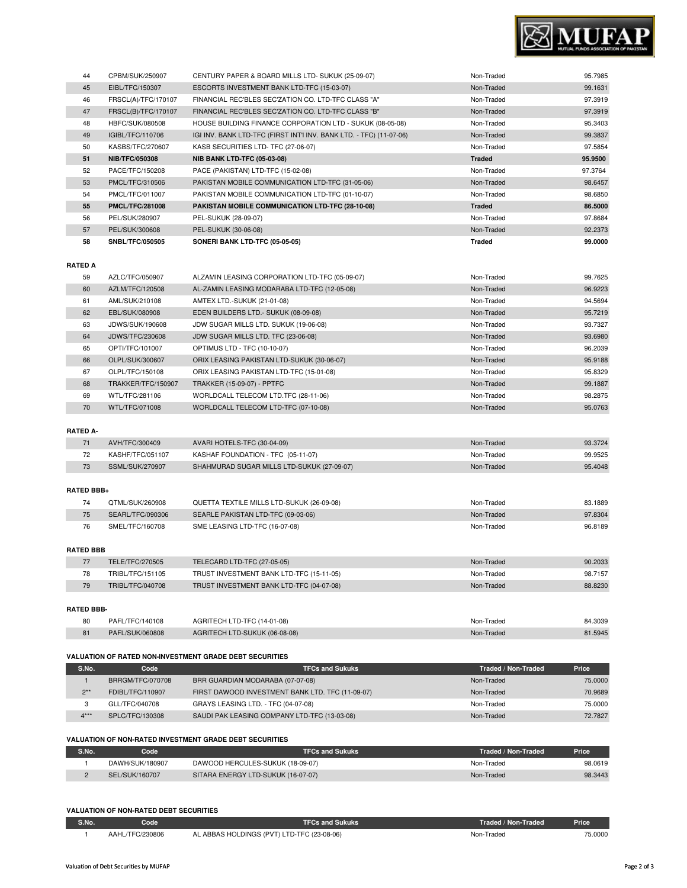

| 44 | CPBM/SUK/250907        | CENTURY PAPER & BOARD MILLS LTD- SUKUK (25-09-07)                   | Non-Traded    | 95.7985 |
|----|------------------------|---------------------------------------------------------------------|---------------|---------|
| 45 | EIBL/TFC/150307        | ESCORTS INVESTMENT BANK LTD-TFC (15-03-07)                          | Non-Traded    | 99.1631 |
| 46 | FRSCL(A)/TFC/170107    | FINANCIAL REC'BLES SEC'ZATION CO. LTD-TFC CLASS "A"                 | Non-Traded    | 97.3919 |
| 47 | FRSCL(B)/TFC/170107    | FINANCIAL REC'BLES SEC'ZATION CO. LTD-TFC CLASS "B"                 | Non-Traded    | 97.3919 |
| 48 | HBFC/SUK/080508        | HOUSE BUILDING FINANCE CORPORATION LTD - SUKUK (08-05-08)           | Non-Traded    | 95.3403 |
| 49 | IGIBL/TFC/110706       | IGI INV. BANK LTD-TFC (FIRST INT'I INV. BANK LTD. - TFC) (11-07-06) | Non-Traded    | 99.3837 |
| 50 | KASBS/TFC/270607       | KASB SECURITIES LTD- TFC (27-06-07)                                 | Non-Traded    | 97.5854 |
| 51 | <b>NIB/TFC/050308</b>  | <b>NIB BANK LTD-TFC (05-03-08)</b>                                  | <b>Traded</b> | 95.9500 |
| 52 | PACE/TFC/150208        | PACE (PAKISTAN) LTD-TFC (15-02-08)                                  | Non-Traded    | 97.3764 |
| 53 | PMCL/TFC/310506        | PAKISTAN MOBILE COMMUNICATION LTD-TFC (31-05-06)                    | Non-Traded    | 98.6457 |
| 54 | PMCL/TFC/011007        | PAKISTAN MOBILE COMMUNICATION LTD-TFC (01-10-07)                    | Non-Traded    | 98.6850 |
| 55 | <b>PMCL/TFC/281008</b> | PAKISTAN MOBILE COMMUNICATION LTD-TFC (28-10-08)                    | <b>Traded</b> | 86.5000 |
| 56 | PEL/SUK/280907         | PEL-SUKUK (28-09-07)                                                | Non-Traded    | 97.8684 |
| 57 | PEL/SUK/300608         | PEL-SUKUK (30-06-08)                                                | Non-Traded    | 92.2373 |
| 58 | <b>SNBL/TFC/050505</b> | SONERI BANK LTD-TFC (05-05-05)                                      | Traded        | 99.0000 |
|    |                        |                                                                     |               |         |

## **RATED A**

| 59 | AZLC/TFC/050907    | ALZAMIN LEASING CORPORATION LTD-TFC (05-09-07) | Non-Traded | 99.7625 |
|----|--------------------|------------------------------------------------|------------|---------|
| 60 | AZLM/TFC/120508    | AL-ZAMIN LEASING MODARABA LTD-TFC (12-05-08)   | Non-Traded | 96.9223 |
| 61 | AML/SUK/210108     | AMTEX LTD.-SUKUK (21-01-08)                    | Non-Traded | 94.5694 |
| 62 | EBL/SUK/080908     | EDEN BUILDERS LTD.- SUKUK (08-09-08)           | Non-Traded | 95.7219 |
| 63 | JDWS/SUK/190608    | JDW SUGAR MILLS LTD. SUKUK (19-06-08)          | Non-Traded | 93.7327 |
| 64 | JDWS/TFC/230608    | JDW SUGAR MILLS LTD. TFC (23-06-08)            | Non-Traded | 93.6980 |
| 65 | OPTI/TFC/101007    | OPTIMUS LTD - TFC (10-10-07)                   | Non-Traded | 96.2039 |
| 66 | OLPL/SUK/300607    | ORIX LEASING PAKISTAN LTD-SUKUK (30-06-07)     | Non-Traded | 95.9188 |
| 67 | OLPL/TFC/150108    | ORIX LEASING PAKISTAN LTD-TFC (15-01-08)       | Non-Traded | 95.8329 |
| 68 | TRAKKER/TFC/150907 | TRAKKER (15-09-07) - PPTFC                     | Non-Traded | 99.1887 |
| 69 | WTL/TFC/281106     | WORLDCALL TELECOM LTD.TFC (28-11-06)           | Non-Traded | 98.2875 |
| 70 | WTL/TFC/071008     | WORLDCALL TELECOM LTD-TFC (07-10-08)           | Non-Traded | 95.0763 |

## **RATED A-**

| 71 | AVH/TFC/300409   | AVARI HOTELS-TFC (30-04-09)                | Non-Traded | 93.3724 |
|----|------------------|--------------------------------------------|------------|---------|
| 72 | KASHF/TFC/051107 | KASHAF FOUNDATION - TFC (05-11-07)         | Non-Traded | 99.9525 |
| 73 | SSML/SUK/270907  | SHAHMURAD SUGAR MILLS LTD-SUKUK (27-09-07) | Non-Traded | 95.4048 |

## **RATED BBB+**

|  | OTML/SUK/260908  | QUETTA TEXTILE MILLS LTD-SUKUK (26-09-08) | Non-Traded | 83.1889 |
|--|------------------|-------------------------------------------|------------|---------|
|  | SEARL/TFC/090306 | SEARLE PAKISTAN LTD-TFC (09-03-06)        | Non-Traded | 97.8304 |
|  | SMEL/TFC/160708  | SME LEASING LTD-TFC (16-07-08)            | Non-Traded | 96.8189 |

## **RATED BBB**

|    | TELE/TFC/270505  | TELECARD LTD-TFC (27-05-05)              | Non-Traded | 90.2033 |
|----|------------------|------------------------------------------|------------|---------|
| 78 | TRIBL/TFC/151105 | TRUST INVESTMENT BANK LTD-TFC (15-11-05) | Non-Traded | 98.7157 |
| 79 | TRIBL/TFC/040708 | TRUST INVESTMENT BANK LTD-TFC (04-07-08) | Non-Traded | 88,8230 |
|    |                  |                                          |            |         |

#### **RATED BBB-**

| 80             | PAFL/TFC/140108 | AGRITECH LTD-TFC (14-01-08)   | Non-Traded | 84.3039 |
|----------------|-----------------|-------------------------------|------------|---------|
| O <sub>1</sub> | PAFL/SUK/060808 | AGRITECH LTD-SUKUK (06-08-08) | Non-Traded | 81.5945 |

#### **VALUATION OF RATED NON-INVESTMENT GRADE DEBT SECURITIES**

| S.No.  | Code             | <b>TFCs and Sukuks</b>                           | Traded / Non-Traded | Price   |
|--------|------------------|--------------------------------------------------|---------------------|---------|
|        | BRRGM/TFC/070708 | BRR GUARDIAN MODARABA (07-07-08)                 | Non-Traded          | 75,0000 |
| $2**$  | FDIBL/TFC/110907 | FIRST DAWOOD INVESTMENT BANK LTD. TFC (11-09-07) | Non-Traded          | 70.9689 |
|        | GLL/TFC/040708   | GRAYS LEASING LTD. - TFC (04-07-08)              | Non-Traded          | 75,0000 |
| $4***$ | SPLC/TFC/130308  | SAUDI PAK LEASING COMPANY LTD-TFC (13-03-08)     | Non-Traded          | 72.7827 |

#### **VALUATION OF NON-RATED INVESTMENT GRADE DEBT SECURITIES**

| S.No. | Code.           | <b>TFCs and Sukuks</b>             | Traded / Non-Traded | <b>Price</b> |
|-------|-----------------|------------------------------------|---------------------|--------------|
|       | DAWH/SUK/180907 | DAWOOD HERCULES-SUKUK (18-09-07)   | Non-Traded          | 98.0619      |
|       | SEL/SUK/160707  | SITARA ENERGY LTD-SUKUK (16-07-07) | Non-Traded          | 98.3443      |

#### **VALUATION OF NON-RATED DEBT SECURITIES**

| S.No. | Code            | <b>FCs and Sukuks</b>                                                                                           | Traded / Non-Traded | <b>Price</b> |
|-------|-----------------|-----------------------------------------------------------------------------------------------------------------|---------------------|--------------|
|       |                 | L ABBAS HOLDINGS (PVT) LTD-TFC (23-08-06)                                                                       | -Traded             |              |
|       | AAHL/TFC/230806 | ΑI                                                                                                              | Non-                | 5.0000       |
|       | .               | the contract of the contract of the contract of the contract of the contract of the contract of the contract of | .                   |              |